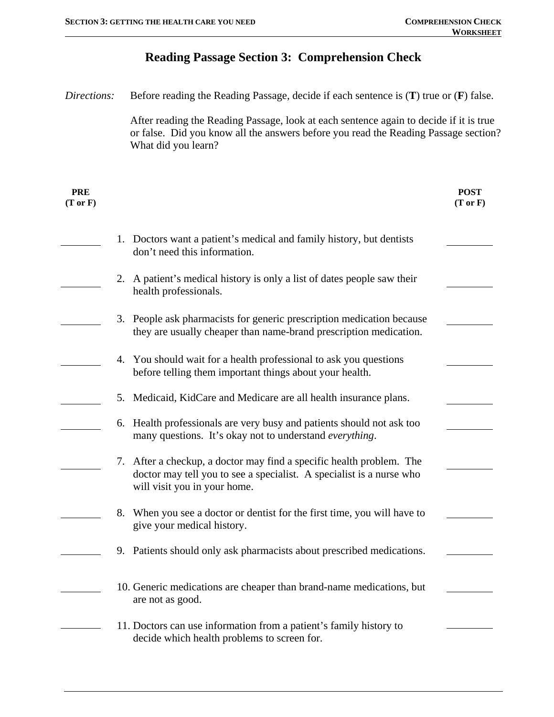## **Reading Passage Section 3: Comprehension Check**  *Directions:* Before reading the Reading Passage, decide if each sentence is (**T**) true or (**F**) false. After reading the Reading Passage, look at each sentence again to decide if it is true or false. Did you know all the answers before you read the Reading Passage section? What did you learn? **PRE (T or F) POST (T or F)**  1. Doctors want a patient's medical and family history, but dentists don't need this information. 2. A patient's medical history is only a list of dates people saw their health professionals. 3. People ask pharmacists for generic prescription medication because they are usually cheaper than name-brand prescription medication. 4. You should wait for a health professional to ask you questions before telling them important things about your health. 5. Medicaid, KidCare and Medicare are all health insurance plans. 6. Health professionals are very busy and patients should not ask too many questions. It's okay not to understand *everything*. 7. After a checkup, a doctor may find a specific health problem. The doctor may tell you to see a specialist. A specialist is a nurse who will visit you in your home. 8. When you see a doctor or dentist for the first time, you will have to give your medical history. 9. Patients should only ask pharmacists about prescribed medications. 10. Generic medications are cheaper than brand-name medications, but are not as good. 11. Doctors can use information from a patient's family history to decide which health problems to screen for.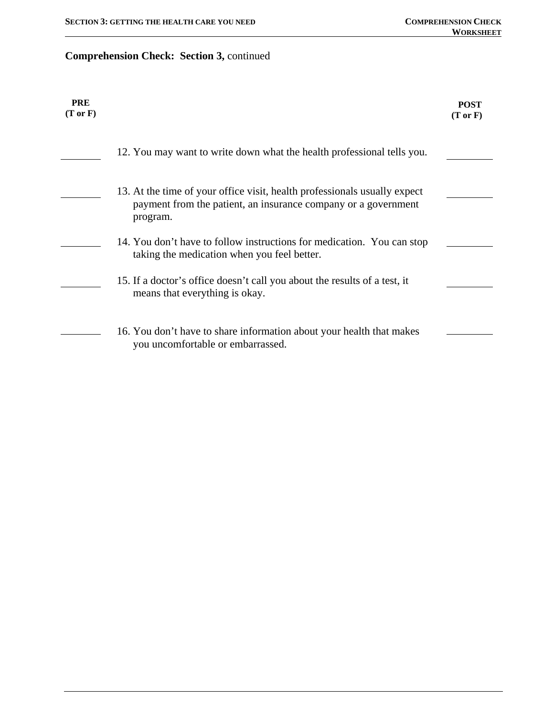## **Comprehension Check: Section 3,** continued

| <b>PRE</b><br>$(T \text{ or } F)$ |                                                                                                                                                         | <b>POST</b><br>$(T \text{ or } F)$ |
|-----------------------------------|---------------------------------------------------------------------------------------------------------------------------------------------------------|------------------------------------|
|                                   | 12. You may want to write down what the health professional tells you.                                                                                  |                                    |
|                                   | 13. At the time of your office visit, health professionals usually expect<br>payment from the patient, an insurance company or a government<br>program. |                                    |
|                                   | 14. You don't have to follow instructions for medication. You can stop<br>taking the medication when you feel better.                                   |                                    |
|                                   | 15. If a doctor's office doesn't call you about the results of a test, it<br>means that everything is okay.                                             |                                    |
|                                   | 16. You don't have to share information about your health that makes<br>you uncomfortable or embarrassed.                                               |                                    |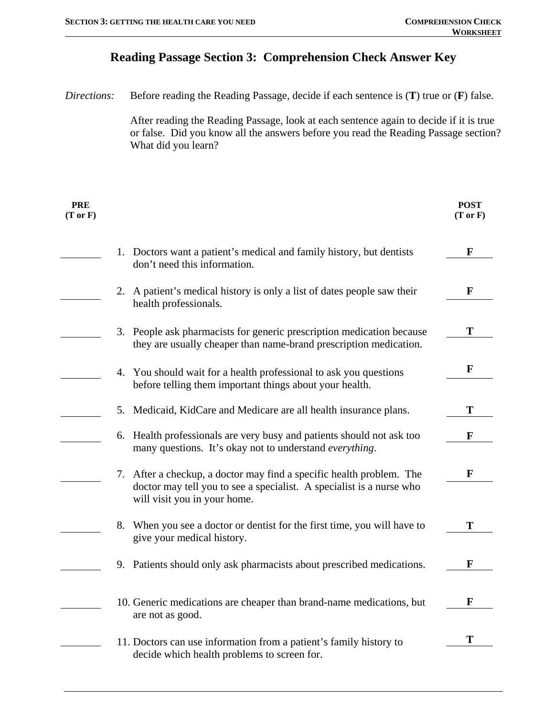## **Reading Passage Section 3: Comprehension Check Answer Key**

| Directions:                       | Before reading the Reading Passage, decide if each sentence is $(T)$ true or $(F)$ false.                                                                                                            |                        |  |
|-----------------------------------|------------------------------------------------------------------------------------------------------------------------------------------------------------------------------------------------------|------------------------|--|
|                                   | After reading the Reading Passage, look at each sentence again to decide if it is true<br>or false. Did you know all the answers before you read the Reading Passage section?<br>What did you learn? |                        |  |
| <b>PRE</b><br>$(T \text{ or } F)$ |                                                                                                                                                                                                      | <b>POST</b><br>(Tor F) |  |
|                                   | 1. Doctors want a patient's medical and family history, but dentists<br>don't need this information.                                                                                                 | F                      |  |
|                                   | A patient's medical history is only a list of dates people saw their<br>2.<br>health professionals.                                                                                                  | F                      |  |
|                                   | 3. People ask pharmacists for generic prescription medication because<br>they are usually cheaper than name-brand prescription medication.                                                           | т                      |  |
| 4.                                | You should wait for a health professional to ask you questions<br>before telling them important things about your health.                                                                            | F                      |  |
| 5.                                | Medicaid, KidCare and Medicare are all health insurance plans.                                                                                                                                       | T                      |  |
| 6.                                | Health professionals are very busy and patients should not ask too<br>many questions. It's okay not to understand everything.                                                                        | F                      |  |
|                                   | 7. After a checkup, a doctor may find a specific health problem. The<br>doctor may tell you to see a specialist. A specialist is a nurse who<br>will visit you in your home.                         | F                      |  |
| 8.                                | When you see a doctor or dentist for the first time, you will have to<br>give your medical history.                                                                                                  |                        |  |
|                                   | 9. Patients should only ask pharmacists about prescribed medications.                                                                                                                                | F                      |  |
|                                   | 10. Generic medications are cheaper than brand-name medications, but<br>are not as good.                                                                                                             | F                      |  |
|                                   | 11. Doctors can use information from a patient's family history to<br>decide which health problems to screen for.                                                                                    | Т                      |  |